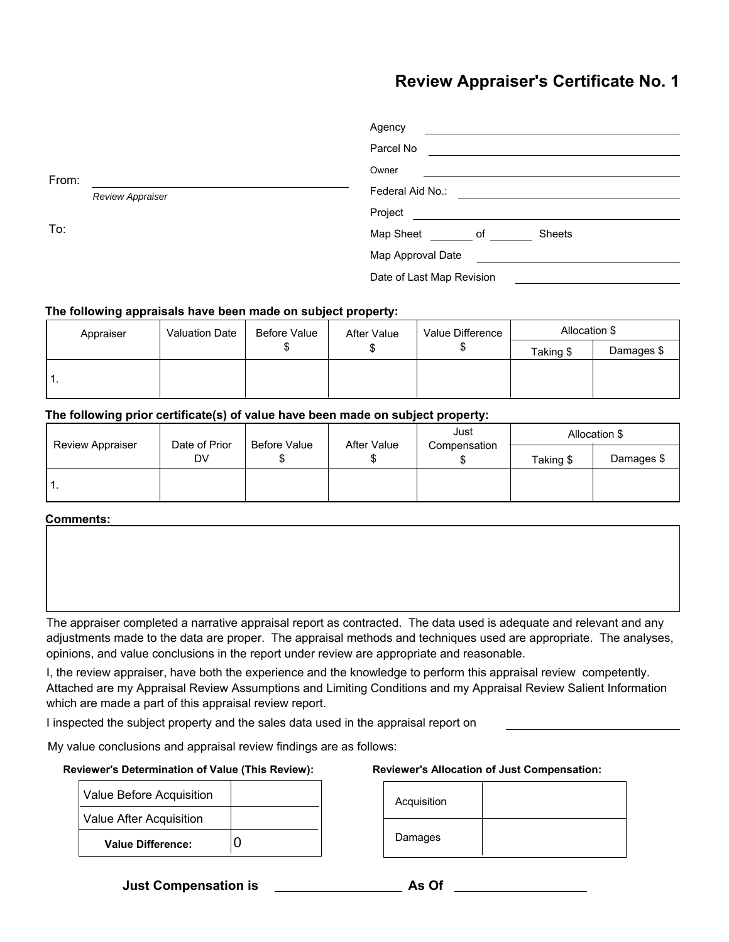# **Review Appraiser's Certificate No. 1**

|                           | Agency                    |  |  |
|---------------------------|---------------------------|--|--|
|                           | Parcel No                 |  |  |
| From:<br>Review Appraiser | Owner                     |  |  |
|                           | Federal Aid No.:          |  |  |
|                           | Project                   |  |  |
| To:                       | Map Sheet<br>Sheets<br>of |  |  |
|                           | Map Approval Date         |  |  |
|                           | Date of Last Map Revision |  |  |

### **The following appraisals have been made on subject property:**

| Appraiser | <b>Valuation Date</b> | Before Value | After Value | Value Difference | Allocation \$ |            |
|-----------|-----------------------|--------------|-------------|------------------|---------------|------------|
|           |                       | w            | ۰D          |                  | Taking \$     | Damages \$ |
| . .       |                       |              |             |                  |               |            |

## **The following prior certificate(s) of value have been made on subject property:**

| <b>Review Appraiser</b> | Date of Prior<br>DV | Before Value | After Value | Just<br>Compensation | Allocation \$ |            |
|-------------------------|---------------------|--------------|-------------|----------------------|---------------|------------|
|                         |                     |              |             |                      | Taking \$     | Damages \$ |
|                         |                     |              |             |                      |               |            |

#### **Comments:**

The appraiser completed a narrative appraisal report as contracted. The data used is adequate and relevant and any adjustments made to the data are proper. The appraisal methods and techniques used are appropriate. The analyses, opinions, and value conclusions in the report under review are appropriate and reasonable.

I, the review appraiser, have both the experience and the knowledge to perform this appraisal review competently. Attached are my Appraisal Review Assumptions and Limiting Conditions and my Appraisal Review Salient Information which are made a part of this appraisal review report.

I inspected the subject property and the sales data used in the appraisal report on

My value conclusions and appraisal review findings are as follows:

#### **Reviewer's Determination of Value (This Review):**

| Value Before Acquisition |  |
|--------------------------|--|
| Value After Acquisition  |  |
| <b>Value Difference:</b> |  |

#### **Reviewer's Allocation of Just Compensation:**

| Acquisition |  |
|-------------|--|
| Damages     |  |

**Just Compensation is As Of**